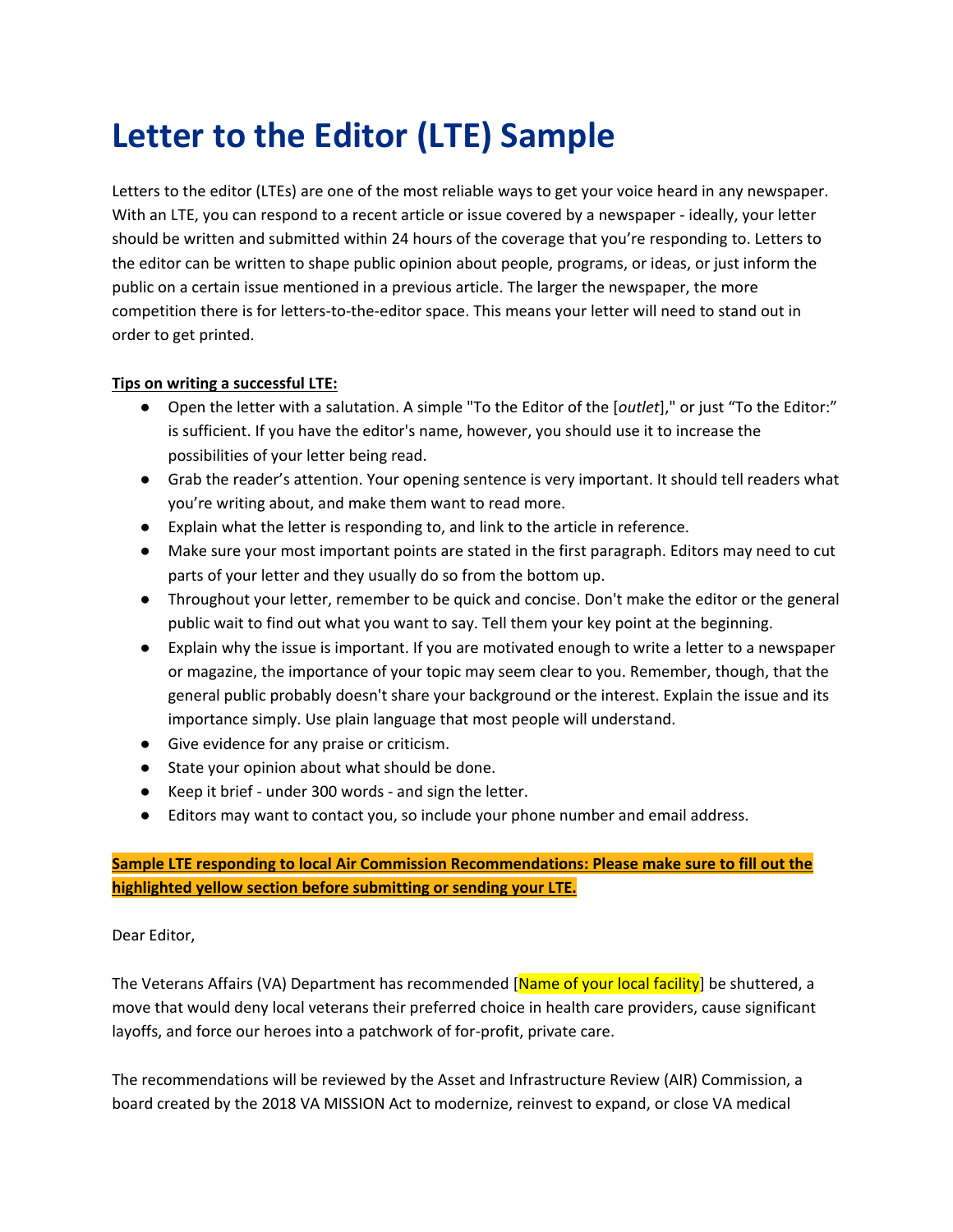## **Letter to the Editor (LTE) Sample**

Letters to the editor (LTEs) are one of the most reliable ways to get your voice heard in any newspaper. With an LTE, you can respond to a recent article or issue covered by a newspaper - ideally, your letter should be written and submitted within 24 hours of the coverage that you're responding to. Letters to the editor can be written to shape public opinion about people, programs, or ideas, or just inform the public on a certain issue mentioned in a previous article. The larger the newspaper, the more competition there is for letters-to-the-editor space. This means your letter will need to stand out in order to get printed.

## **Tips on writing a successful LTE:**

- Open the letter with a salutation. A simple "To the Editor of the [*outlet*]," or just "To the Editor:" is sufficient. If you have the editor's name, however, you should use it to increase the possibilities of your letter being read.
- Grab the reader's attention. Your opening sentence is very important. It should tell readers what you're writing about, and make them want to read more.
- Explain what the letter is responding to, and link to the article in reference.
- Make sure your most important points are stated in the first paragraph. Editors may need to cut parts of your letter and they usually do so from the bottom up.
- Throughout your letter, remember to be quick and concise. Don't make the editor or the general public wait to find out what you want to say. Tell them your key point at the beginning.
- Explain why the issue is important. If you are motivated enough to write a letter to a newspaper or magazine, the importance of your topic may seem clear to you. Remember, though, that the general public probably doesn't share your background or the interest. Explain the issue and its importance simply. Use plain language that most people will understand.
- Give evidence for any praise or criticism.
- State your opinion about what should be done.
- Keep it brief under 300 words and sign the letter.
- Editors may want to contact you, so include your phone number and email address.

## **Sample LTE responding to local Air Commission Recommendations: Please make sure to fill out the highlighted yellow section before submitting or sending your LTE.**

## Dear Editor,

The Veterans Affairs (VA) Department has recommended [Name of your local facility] be shuttered, a move that would deny local veterans their preferred choice in health care providers, cause significant layoffs, and force our heroes into a patchwork of for-profit, private care.

The recommendations will be reviewed by the Asset and Infrastructure Review (AIR) Commission, a board created by the 2018 VA MISSION Act to modernize, reinvest to expand, or close VA medical